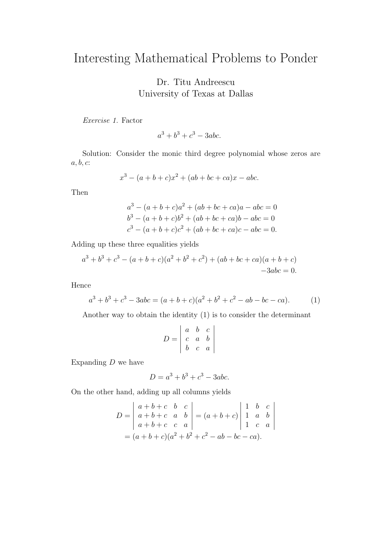## Interesting Mathematical Problems to Ponder

Dr. Titu Andreescu University of Texas at Dallas

Exercise 1. Factor

 $a^3 + b^3 + c^3 - 3abc$ .

Solution: Consider the monic third degree polynomial whose zeros are  $a, b, c$ :

$$
x^3 - (a+b+c)x^2 + (ab+bc+ca)x - abc.
$$

Then

$$
a3 - (a + b + c)a2 + (ab + bc + ca)a - abc = 0
$$
  
\n
$$
b3 - (a + b + c)b2 + (ab + bc + ca)b - abc = 0
$$
  
\n
$$
c3 - (a + b + c)c2 + (ab + bc + ca)c - abc = 0.
$$

Adding up these three equalities yields

$$
a3 + b3 + c3 - (a + b + c)(a2 + b2 + c2) + (ab + bc + ca)(a + b + c)
$$
  
-3abc = 0.

Hence

$$
a3 + b3 + c3 - 3abc = (a + b + c)(a2 + b2 + c2 - ab - bc - ca).
$$
 (1)

Another way to obtain the identity (1) is to consider the determinant

$$
D = \begin{vmatrix} a & b & c \\ c & a & b \\ b & c & a \end{vmatrix}
$$

Expanding  $D$  we have

$$
D = a^3 + b^3 + c^3 - 3abc.
$$

On the other hand, adding up all columns yields

$$
D = \begin{vmatrix} a+b+c & b & c \\ a+b+c & a & b \\ a+b+c & c & a \end{vmatrix} = (a+b+c) \begin{vmatrix} 1 & b & c \\ 1 & a & b \\ 1 & c & a \end{vmatrix}
$$
  
=  $(a+b+c)(a^2+b^2+c^2-ab-bc-ca).$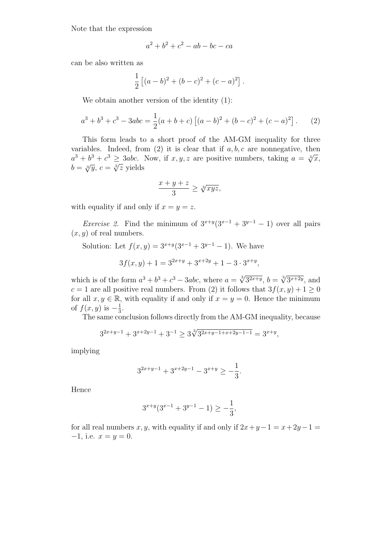Note that the expression

$$
a^2 + b^2 + c^2 - ab - bc - ca
$$

can be also written as

$$
\frac{1}{2} [(a-b)^2 + (b-c)^2 + (c-a)^2].
$$

We obtain another version of the identity (1):

$$
a^{3} + b^{3} + c^{3} - 3abc = \frac{1}{2}(a+b+c)\left[ (a-b)^{2} + (b-c)^{2} + (c-a)^{2} \right].
$$
 (2)

This form leads to a short proof of the AM-GM inequality for three variables. Indeed, from  $(2)$  it is clear that if  $a, b, c$  are nonnegative, then variables. Indeed, from (2) it is clear that if  $a, b, c$  are nonnegative, then  $a^3 + b^3 + c^3 \ge 3abc$ . Now, if  $x, y, z$  are positive numbers, taking  $a = \sqrt[3]{x}$ ,  $a + b + c \geq 3abc.$ <br>  $b = \sqrt[3]{y}, c = \sqrt[3]{z}$  yields

$$
\frac{x+y+z}{3} \ge \sqrt[3]{xyz},
$$

with equality if and only if  $x = y = z$ .

*Exercise 2.* Find the minimum of  $3^{x+y}(3^{x-1} + 3^{y-1} - 1)$  over all pairs  $(x, y)$  of real numbers.

Solution: Let  $f(x, y) = 3^{x+y}(3^{x-1} + 3^{y-1} - 1)$ . We have

$$
3f(x,y) + 1 = 3^{2x+y} + 3^{x+2y} + 1 - 3 \cdot 3^{x+y},
$$

which is of the form  $a^3 + b^3 + c^3 - 3abc$ , where  $a = \sqrt[3]{3^{2x+y}}$ ,  $b = \sqrt[3]{3^{x+2y}}$ , and  $c = 1$  are all positive real numbers. From (2) it follows that  $3f(x, y) + 1 \ge 0$ for all  $x, y \in \mathbb{R}$ , with equality if and only if  $x = y = 0$ . Hence the minimum of  $f(x, y)$  is  $-\frac{1}{3}$  $\frac{1}{3}$ .

The same conclusion follows directly from the AM-GM inequality, because

$$
3^{2x+y-1} + 3^{x+2y-1} + 3^{-1} \ge 3\sqrt[3]{3^{2x+y-1+x+2y-1-1}} = 3^{x+y},
$$

implying

$$
3^{2x+y-1} + 3^{x+2y-1} - 3^{x+y} \ge -\frac{1}{3}.
$$

Hence

$$
3^{x+y}(3^{x-1}+3^{y-1}-1) \ge -\frac{1}{3},
$$

for all real numbers x, y, with equality if and only if  $2x+y-1 = x+2y-1$  $-1$ , i.e.  $x = y = 0$ .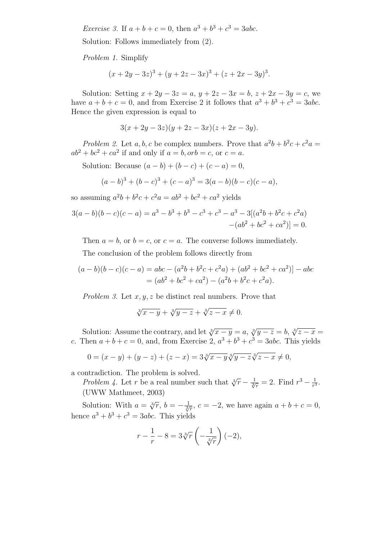*Exercise* 3. If  $a + b + c = 0$ , then  $a^3 + b^3 + c^3 = 3abc$ .

Solution: Follows immediately from (2).

Problem 1. Simplify

$$
(x+2y-3z)3 + (y+2z-3x)3 + (z+2x-3y)3.
$$

Solution: Setting  $x + 2y - 3z = a$ ,  $y + 2z - 3x = b$ ,  $z + 2x - 3y = c$ , we have  $a + b + c = 0$ , and from Exercise 2 it follows that  $a^3 + b^3 + c^3 = 3abc$ . Hence the given expression is equal to

$$
3(x + 2y - 3z)(y + 2z - 3x)(z + 2x - 3y).
$$

Problem 2. Let a, b, c be complex numbers. Prove that  $a^2b + b^2c + c^2a =$  $ab^2 + bc^2 + ca^2$  if and only if  $a = b$ ,  $orb = c$ , or  $c = a$ .

Solution: Because  $(a - b) + (b - c) + (c - a) = 0$ ,

$$
(a-b)3 + (b-c)3 + (c-a)3 = 3(a - b)(b - c)(c - a),
$$

so assuming  $a^2b + b^2c + c^2a = ab^2 + bc^2 + ca^2$  yields

$$
3(a-b)(b-c)(c-a) = a3 - b3 + b3 - c3 + c3 - a3 - 3[(a2b + b2c + c2a)-(ab2 + bc2 + ca2)] = 0.
$$

Then  $a = b$ , or  $b = c$ , or  $c = a$ . The converse follows immediately.

The conclusion of the problem follows directly from

$$
(a - b)(b - c)(c - a) = abc - (a2b + b2c + c2a) + (ab2 + bc2 + ca2)] - abc
$$
  
=  $(ab2 + bc2 + ca2) - (a2b + b2c + c2a).$ 

Problem 3. Let  $x, y, z$  be distinct real numbers. Prove that

$$
\sqrt[3]{x-y} + \sqrt[3]{y-z} + \sqrt[3]{z-x} \neq 0.
$$

Solution: Assume the contrary, and let  $\sqrt[3]{x-y} = a$ ,  $\sqrt[3]{y-z} = b$ ,  $\sqrt[3]{z-x} = b$ c. Then  $a+b+c=0$ , and, from Exercise 2,  $a^3+b^3+c^3=3abc$ . This yields

$$
0 = (x - y) + (y - z) + (z - x) = 3\sqrt[3]{x - y}\sqrt[3]{y - z}\sqrt[3]{z - x} \neq 0,
$$

a contradiction. The problem is solved.

Problem 4. Let r be a real number such that  $\sqrt[3]{r} - \frac{1}{\sqrt[3]{r}} = 2$ . Find  $r^3 - \frac{1}{r^3}$  $\frac{1}{r^3}$ . (UWW Mathmeet, 2003)

Solution: With  $a = \sqrt[3]{r}$ ,  $b = -\frac{1}{\sqrt[3]{r}}$ ,  $c = -2$ , we have again  $a + b + c = 0$ , hence  $a^3 + b^3 + c^3 = 3abc$ . This yields

$$
r - \frac{1}{r} - 8 = 3\sqrt[3]{r} \left(-\frac{1}{\sqrt[3]{r}}\right)(-2),
$$